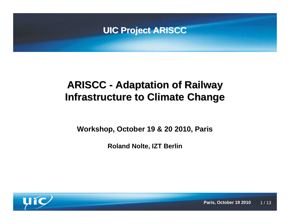

**Workshop, October 19 & 20 2010, Paris**

**Roland Nolte, IZT Berlin**



 $1/13$ **Paris, October 19 2010**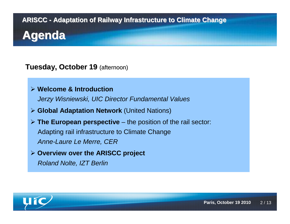#### **Tuesday, October 19** (afternoon)

### **Welcome & Introduction**

Jerzy Wisniewski, UIC Director Fundamental Values

- **Global Adaptation Network** (United Nations)
- **The European perspective** the position of the rail sector: Adapting rail infrastructure to Climate ChangeAnne-Laure Le Merre, CER
- **Overview over the ARISCC project** Roland Nolte, IZT Berlin

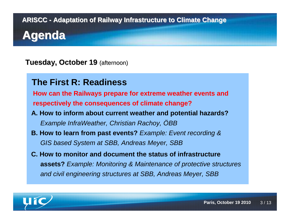**Tuesday, October 19** (afternoon)

#### **The First R: Readiness**

**How can the Railways prepare for extreme weather events andrespectively the consequences of climate change?**

- **A. How to inform about current weather and potential hazards?**Example InfraWeather, Christian Rachoy, OBB
- **B. How to learn from past events?** Example: Event recording & GIS based System at SBB, Andreas Meyer, SBB
- **C. How to monitor and document the status of infrastructureassets?** Example: Monitoring & Maintenance of protective structuresand civil engineering structures at SBB, Andreas Meyer, SBB

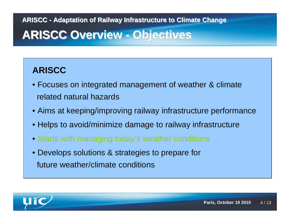# **ARISCC Overview - Objectives**

### **ARISCC**

- Focuses on integrated management of weather & climaterelated natural hazards
- Aims at keeping/improving railway infrastructure performance
- Helps to avoid/minimize damage to railway infrastructure
- Starts with managing today's weather conditions
- Develops solutions & strategies to prepare for future weather/climate conditions

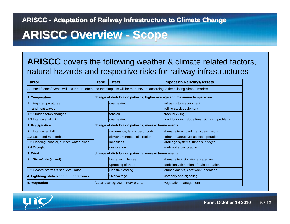# **ARISCC Overview - Scope**

#### **ARISCC** covers the following weather & climate related factors, natural hazards and respective risks for railway infrastructures

| Factor                                                                                                                         | <b>Trend</b>                                                            | <b>Effect</b>                      | <b>Impact on Railways/Assets</b>                |
|--------------------------------------------------------------------------------------------------------------------------------|-------------------------------------------------------------------------|------------------------------------|-------------------------------------------------|
| All listed factors/events will occur more often and their impacts will be more severe according to the existing climate models |                                                                         |                                    |                                                 |
| 1. Temperature                                                                                                                 | change of distribution patterns, higher average and maximum temperature |                                    |                                                 |
| 1.1 High temperatures                                                                                                          |                                                                         | overheating                        | infrastructure equipment                        |
| and heat waves                                                                                                                 |                                                                         |                                    | rolling stock equipment                         |
| 1.2 Sudden temp changes                                                                                                        |                                                                         | tension                            | track buckling                                  |
| 1.3 Intense sunlight                                                                                                           |                                                                         | overheating                        | track buckling, slope fires, signaling problems |
| 2. Precipitation                                                                                                               | change of distribution patterns, more extreme events                    |                                    |                                                 |
| 2.1 Intense rainfall                                                                                                           |                                                                         | soil erosion, land sides, flooding | damage to embankments, earthwork                |
| 2.2 Extended rain periods                                                                                                      |                                                                         | slower drainage, soil erosion      | other infrastructure assets, operation          |
| 2.3 Flooding: coastal, surface water, fluvial                                                                                  |                                                                         | landslides                         | drainage systems, tunnels, bridges              |
| 2.4 Drought                                                                                                                    |                                                                         | desiccation                        | earhworks desiccation                           |
| l3. Wind                                                                                                                       | change of distribution patterns, more extreme events                    |                                    |                                                 |
| 3.1 Storm/gale (inland)                                                                                                        |                                                                         | higher wind forces                 | damage to installations, catenary               |
|                                                                                                                                |                                                                         | uprooting of trees                 | rstrictions/disruption of train operation       |
| 13.2 Coastal storms & sea level raise                                                                                          |                                                                         | Coastal flooding                   | embankments, earthwork, operation               |
| 4. Lightning strikes and thunderstorms                                                                                         |                                                                         | Overvoltage                        | catenary and signaling                          |
| 5. Vegetation                                                                                                                  | faster plant growth, new plants                                         |                                    | vegetation management                           |

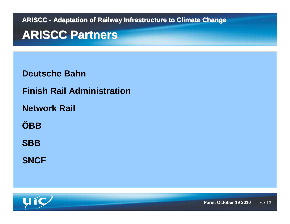### **ARISCC Partners**

**Deutsche Bahn**

**Finish Rail Administration**

**Network Rail**

**ÖBB**

**SBB**

**SNCF**

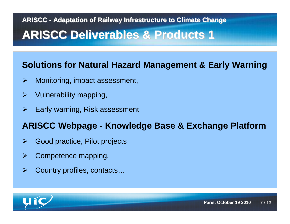# **ARISCC Deliverables & Products 1**

#### **Solutions for Natural Hazard Management & Early Warning**

- $\blacktriangleright$ Monitoring, impact assessment,
- $\blacktriangleright$ Vulnerability mapping,
- $\blacktriangleright$ Early warning, Risk assessment

#### **ARISCC Webpage - Knowledge Base & Exchange Platform**

- $\blacktriangleright$ Good practice, Pilot projects
- $\blacktriangleright$ Competence mapping,
- $\blacktriangleright$ Country profiles, contacts…

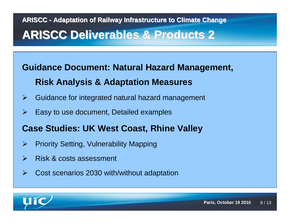# **ARISCC - Adaptation of Railway Infrastructure to Climate ChangeARISCC Deliverables & Products 2**

# **Guidance Document: Natural Hazard Management, Risk Analysis & Adaptation Measures**

- $\blacktriangleright$ Guidance for integrated natural hazard management
- $\blacktriangleright$ Easy to use document, Detailed examples

#### **Case Studies: UK West Coast, Rhine Valley**

- $\blacktriangleright$ Priority Setting, Vulnerability Mapping
- $\blacktriangleright$ Risk & costs assessment
- $\blacktriangleright$ Cost scenarios 2030 with/without adaptation

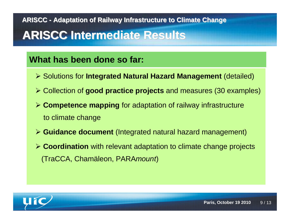# **ARISCC Intermediate Results**

#### **What has been done so far:**

- Solutions for **Integrated Natural Hazard Management** (detailed)
- Collection of **good practice projects** and measures (30 examples)
- **Competence mapping** for adaptation of railway infrastructure to climate change
- **Guidance document** (Integrated natural hazard management)
- **Coordination** with relevant adaptation to climate change projects (TraCCA, Chamäleon, PARAmount)

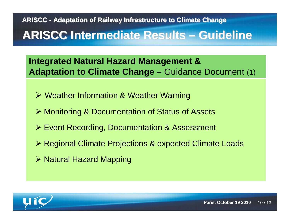# **ARISCC Intermediate Results – Guideline**

**Integrated Natural Hazard Management & Adaptation to Climate Change –** Guidance Document (1)

- Weather Information & Weather Warning
- Monitoring & Documentation of Status of Assets
- Event Recording, Documentation & Assessment
- Regional Climate Projections & expected Climate Loads
- **≻ Natural Hazard Mapping**

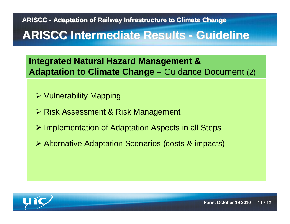# **ARISCC Intermediate Results - Guideline**

**Integrated Natural Hazard Management & Adaptation to Climate Change –** Guidance Document (2)

- Vulnerability Mapping
- **≻ Risk Assessment & Risk Management**
- **▶ Implementation of Adaptation Aspects in all Steps**
- Alternative Adaptation Scenarios (costs & impacts)

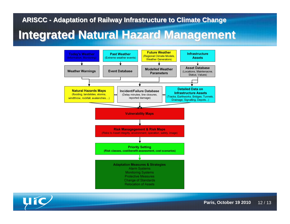### **Integrated Natural Hazard Management**